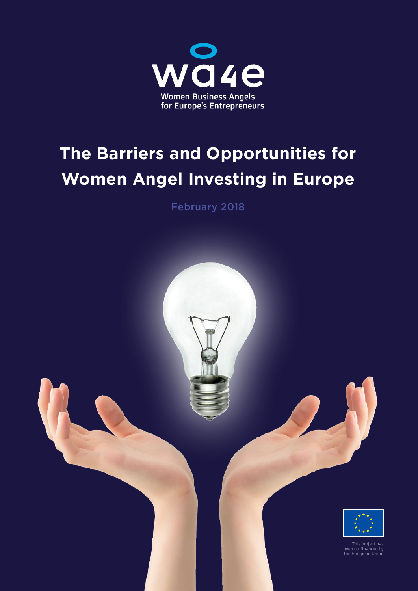

# **The Barriers and Opportunities for Women Angel Investing in Europe**

February 2018

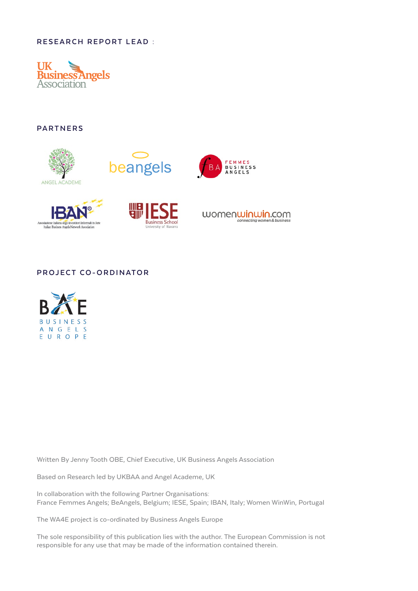## **RESEARCH REPORT LEAD :**



**PARTNERS**



## **PROJECT CO-ORDINATOR**



Written By Jenny Tooth OBE, Chief Executive, UK Business Angels Association

Based on Research led by UKBAA and Angel Academe, UK

In collaboration with the following Partner Organisations: France Femmes Angels; BeAngels, Belgium; IESE, Spain; IBAN, Italy; Women WinWin, Portugal

The WA4E project is co-ordinated by Business Angels Europe

The sole responsibility of this publication lies with the author. The European Commission is not responsible for any use that may be made of the information contained therein.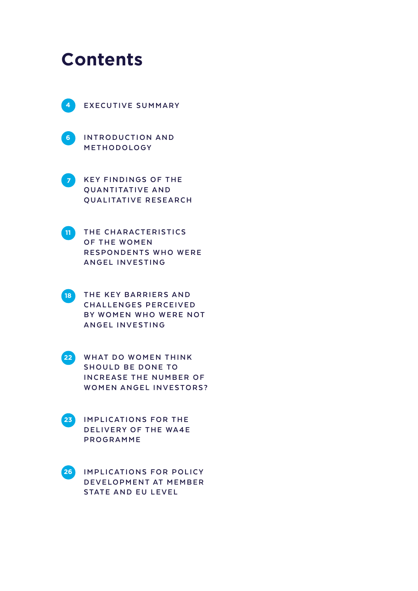# **Contents**





**[6](#page-5-0)** INTRODUCTION AND **[METHODOLOGY](#page-5-0)**

**KEY FINDINGS OF THE QUANTITATIVE AND [QUALITATIVE RESEARCH](#page-6-0)**



**THE CHARACTERISTICS OF THE WOMEN RESPONDENTS WHO WERE [ANGEL INVESTING](#page-10-0)**



**THE KEY BARRIERS AND [C H A L L E N G E S P E R C E I V E D](#page-17-0)  BY WOMEN WHO WERE NOT [ANGEL INVESTING](#page-17-0)**



**WHAT DO WOMEN THINK** SHOULD BE DONE TO **INCREASE THE NUMBER OF WOMEN ANGEL INVESTORS?** 

**IMPLICATIONS FOR THE DELIVERY OF THE WA4E [PROGRAMME](#page-22-0)**

**IMPLICATIONS FOR POLICY DEVELOPMENT AT MEMBER [STATE AND EU LEVEL](#page-25-0) [26](#page-25-0)**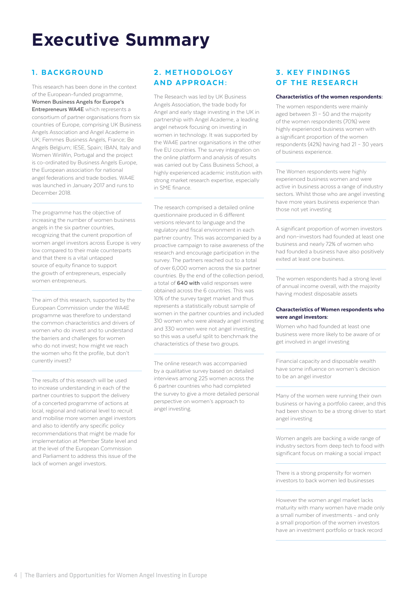# <span id="page-3-0"></span>**Executive Summary**

# 1. BACKGROUND

This research has been done in the context of the European-funded programme, **Women Business Angels for Europe's Entrepreneurs WA4E** which represents a consortium of partner organisations from six countries of Europe, comprising UK Business Angels Association and Angel Academe in UK; Femmes Business Angels, France; Be Angels Belgium; IESE, Spain; IBAN, Italy and Women WinWin, Portugal and the project is co-ordinated by Business Angels Europe, the European association for national angel federations and trade bodies. WA4E was launched in January 2017 and runs to December 2018.

The programme has the objective of increasing the number of women business angels in the six partner countries, recognizing that the current proportion of women angel investors across Europe is very low compared to their male counterparts and that there is a vital untapped source of equity finance to support the growth of entrepreneurs, especially women entrepreneurs.

The aim of this research, supported by the European Commission under the WA4E programme was therefore to understand the common characteristics and drivers of women who do invest and to understand the barriers and challenges for women who do not invest; how might we reach the women who fit the profile, but don't currently invest?

The results of this research will be used to increase understanding in each of the partner countries to support the delivery of a concerted programme of actions at local, regional and national level to recruit and mobilise more women angel investors and also to identify any specific policy recommendations that might be made for implementation at Member State level and at the level of the European Commission and Parliament to address this issue of the lack of women angel investors.

# 2. METHODOLOGY AND APPROACH:

The Research was led by UK Business Angels Association, the trade body for Angel and early stage investing in the UK in partnership with Angel Academe, a leading angel network focusing on investing in women in technology. It was supported by the WA4E partner organisations in the other five EU countries. The survey integration on the online platform and analysis of results was carried out by Cass Business School, a highly experienced academic institution with strong market research expertise, especially in SME finance.

The research comprised a detailed online questionnaire produced in 6 different versions relevant to language and the regulatory and fiscal environment in each partner country. This was accompanied by a proactive campaign to raise awareness of the research and encourage participation in the survey. The partners reached out to a total of over 6,000 women across the six partner countries. By the end of the collection period, a total of **640 with** valid responses were obtained across the 6 countries. This was 10% of the survey target market and thus represents a statistically robust sample of women in the partner countries and included 310 women who were already angel investing and 330 women were not angel investing, so this was a useful split to benchmark the characteristics of these two groups.

The online research was accompanied by a qualitative survey based on detailed interviews among 225 women across the 6 partner countries who had completed the survey to give a more detailed personal perspective on women's approach to angel investing.

## **3. KEY FINDINGS** OF THE RESEARCH

#### Characteristics of the women respondents:

The women respondents were mainly aged between 31 – 50 and the majority of the women respondents (70%) were highly experienced business women with a significant proportion of the women respondents (42%) having had 21 – 30 years of business experience.

The Women respondents were highly experienced business women and were active in business across a range of industry sectors. Whilst those who are angel investing have more years business experience than those not yet investing

A significant proportion of women investors and non–investors had founded at least one business and nearly 72% of women who had founded a business have also positively exited at least one business.

The women respondents had a strong level of annual income overall, with the majority having modest disposable assets

#### Characteristics of Women respondents who were angel investors:

Women who had founded at least one business were more likely to be aware of or get involved in angel investing

Financial capacity and disposable wealth have some influence on women's decision to be an angel investor

Many of the women were running their own business or having a portfolio career, and this had been shown to be a strong driver to start angel investing

Women angels are backing a wide range of industry sectors from deep tech to food with significant focus on making a social impact

There is a strong propensity for women investors to back women led businesses

However the women angel market lacks maturity with many women have made only a small number of investments - and only a small proportion of the women investors have an investment portfolio or track record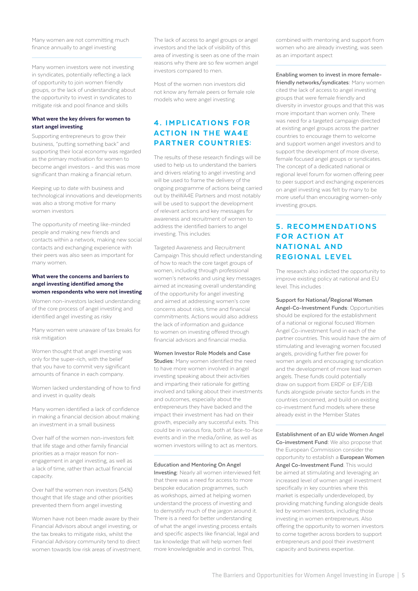Many women are not committing much finance annually to angel investing

Many women investors were not investing in syndicates, potentially reflecting a lack of opportunity to join women friendly groups, or the lack of understanding about the opportunity to invest in syndicates to mitigate risk and pool finance and skills

#### What were the key drivers for women to start angel investing

Supporting entrepreneurs to grow their business, "putting something back" and supporting their local economy was regarded as the primary motivation for women to become angel investors - and this was more significant than making a financial return.

Keeping up to date with business and technological innovations and developments was also a strong motive for many women investors

The opportunity of meeting like-minded people and making new friends and contacts within a network, making new social contacts and exchanging experience with their peers was also seen as important for many women.

#### What were the concerns and barriers to angel investing identified among the women respondents who were not investing

Women non-investors lacked understanding of the core process of angel investing and identified angel investing as risky

Many women were unaware of tax breaks for risk mitigation

Women thought that angel investing was only for the super-rich, with the belief that you have to commit very significant amounts of finance in each company.

Women lacked understanding of how to find and invest in quality deals

Many women identified a lack of confidence in making a financial decision about making an investment in a small business

Over half of the women non-investors felt that life stage and other family financial priorities as a major reason for nonengagement in angel investing, as well as a lack of time, rather than actual financial capacity.

Over half the women non investors (54%) thought that life stage and other priorities prevented them from angel investing

Women have not been made aware by their Financial Advisors about angel investing, or the tax breaks to mitigate risks, whilst the Financial Advisory community tend to direct women towards low risk areas of investment. The lack of access to angel groups or angel investors and the lack of visibility of this area of investing is seen as one of the main reasons why there are so few women angel investors compared to men.

Most of the women non investors did not know any female peers or female role models who were angel investing

# 4. IMPLICATIONS FOR **ACTION IN THE WA4E** PARTNER COUNTRIES:

The results of these research findings will be used to help us to understand the barriers and drivers relating to angel investing and will be used to frame the delivery of the ongoing programme of actions being carried out by theWA4E Partners and most notably will be used to support the development of relevant actions and key messages for awareness and recruitment of women to address the identified barriers to angel investing. This includes:

Targeted Awareness and Recruitment Campaign This should reflect understanding of how to reach the core target groups of women, including through professional women's networks and using key messages aimed at increasing overall understanding of the opportunity for angel investing and aimed at addressing women's core concerns about risks, time and financial commitments. Actions would also address the lack of information and guidance to women on investing offered through financial advisors and financial media.

**Women Investor Role Models and Case Studies:** Many women identified the need to have more women involved in angel investing speaking about their activities and imparting their rationale for getting involved and talking about their investments and outcomes, especially about the entrepreneurs they have backed and the impact their investment has had on their growth, especially any successful exits. This could be in various fora, both at face-to-face events and in the media/online, as well as women investors willing to act as mentors.

#### **Education and Mentoring On Angel**

**Investing:** Nearly all women interviewed felt that there was a need for access to more bespoke education programmes, such as workshops, aimed at helping women understand the process of investing and to demystify much of the jargon around it. There is a need for better understanding of what the angel investing process entails and specific aspects like financial, legal and tax knowledge that will help women feel more knowledgeable and in control. This,

combined with mentoring and support from women who are already investing, was seen as an important aspect

**Enabling women to invest in more femalefriendly networks/syndicates:** Many women cited the lack of access to angel investing groups that were female friendly and diversity in investor groups and that this was more important than women only. There was need for a targeted campaign directed at existing angel groups across the partner countries to encourage them to welcome and support women angel investors and to support the development of more diverse, female focused angel groups or syndicates. The concept of a dedicated national or regional level forum for women offering peer to peer support and exchanging experiences on angel investing was felt by many to be more useful than encouraging women-only investing groups.

# **5. RECOMMENDATIONS FOR ACTION AT NATIONAL AND** REGIONAL LEVEL

The research also indicted the opportunity to improve existing policy at national and EU level. This includes :

**Support for National/Regional Women Angel-Co-Investment Funds:** Opportunities should be explored for the establishment of a national or regional focused Women Angel Co-investment fund in each of the partner countries. This would have the aim of stimulating and leveraging women focused angels, providing further fire power for women angels and encouraging syndication

and the development of more lead women angels. These funds could potentially draw on support from ERDF or EIF/EIB funds alongside private sector funds in the countries concerned, and build on existing co-investment fund models where these already exist in the Member States

**Establishment of an EU wide Women Angel Co-investment Fund:** We also propose that the European Commission consider the opportunity to establish a **European Women Angel Co-Investment Fund**. This would be aimed at stimulating and leveraging an increased level of women angel investment specifically in key countries where this market is especially underdeveloped, by providing matching funding alongside deals led by women investors, including those investing in women entrepreneurs. Also offering the opportunity to women investors to come together across borders to support entrepreneurs and pool their investment capacity and business expertise.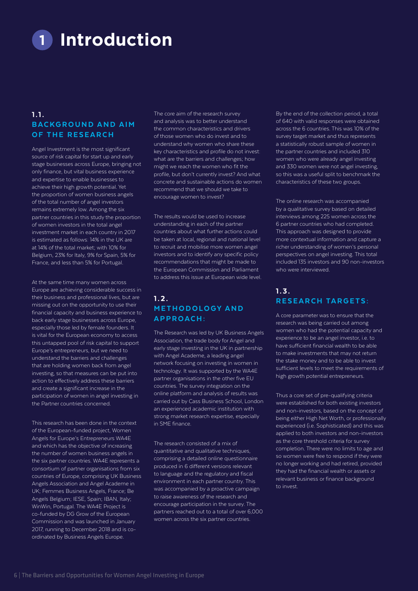<span id="page-5-0"></span>**Introduction 1**

## 1.1. BACKGROUND AND AIM OF THE RESEARCH

Angel Investment is the most significant source of risk capital for start up and early stage businesses across Europe, bringing not only finance, but vital business experience and expertise to enable businesses to achieve their high growth potential. Yet the proportion of women business angels of the total number of angel investors remains extremely low. Among the six partner countries in this study the proportion of women investors in the total angel investment market in each country in 2017 is estimated as follows: 14% in the UK are at 14% of the total market; with 10% for Belgium, 23% for Italy, 9% for Spain, 5% for France, and less than 5% for Portugal.

At the same time many women across Europe are achieving considerable success in their business and professional lives, but are missing out on the opportunity to use their financial capacity and business experience to back early stage businesses across Europe, especially those led by female founders. It is vital for the European economy to access this untapped pool of risk capital to support Europe's entrepreneurs, but we need to understand the barriers and challenges that are holding women back from angel investing, so that measures can be put into action to effectively address these barriers and create a significant increase in the participation of women in angel investing in the Partner countries concerned.

This research has been done in the context of the European-funded project, Women Angels for Europe's Entrepreneurs WA4E and which has the objective of increasing the number of women business angels in the six partner countries. WA4E represents a consortium of partner organisations from six countries of Europe, comprising UK Business Angels Association and Angel Academe in UK; Femmes Business Angels, France; Be Angels Belgium; IESE, Spain; IBAN, Italy; WinWin, Portugal. The WA4E Project is co-funded by DG Grow of the European Commission and was launched in January 2017, running to December 2018 and is coordinated by Business Angels Europe.

The core aim of the research survey and analysis was to better understand the common characteristics and drivers of those women who do invest and to understand why women who share these key characteristics and profile do not invest: what are the barriers and challenges; how might we reach the women who fit the profile, but don't currently invest? And what concrete and sustainable actions do women recommend that we should we take to encourage women to invest?

The results would be used to increase understanding in each of the partner countries about what further actions could be taken at local, regional and national level to recruit and mobilise more women angel investors and to identify any specific policy recommendations that might be made to the European Commission and Parliament to address this issue at European wide level.

# $1.2.$ **METHODOLOGY AND** APPROACH:

The Research was led by UK Business Angels Association, the trade body for Angel and early stage investing in the UK in partnership with Angel Academe, a leading angel network focusing on investing in women in technology. It was supported by the WA4E partner organisations in the other five EU countries. The survey integration on the online platform and analysis of results was carried out by Cass Business School, London an experienced academic institution with strong market research expertise, especially in SME finance.

The research consisted of a mix of quantitative and qualitative techniques, comprising a detailed online questionnaire produced in 6 different versions relevant to language and the regulatory and fiscal environment in each partner country. This was accompanied by a proactive campaign to raise awareness of the research and encourage participation in the survey. The partners reached out to a total of over 6,000 women across the six partner countries.

By the end of the collection period, a total of 640 with valid responses were obtained across the 6 countries. This was 10% of the survey target market and thus represents a statistically robust sample of women in the partner countries and included 310 women who were already angel investing and 330 women were not angel investing, so this was a useful split to benchmark the characteristics of these two groups.

The online research was accompanied by a qualitative survey based on detailed interviews among 225 women across the 6 partner countries who had completed. This approach was designed to provide more contextual information and capture a richer understanding of women's personal perspectives on angel investing. This total included 135 investors and 90 non-investors who were interviewed.

## 1.3. RESEARCH TARGETS:

A core parameter was to ensure that the research was being carried out among women who had the potential capacity and experience to be an angel investor, i.e. to have sufficient financial wealth to be able to make investments that may not return the stake money and to be able to invest sufficient levels to meet the requirements of high growth potential entrepreneurs.

Thus a core set of pre-qualifying criteria were established for both existing investors and non-investors, based on the concept of being either High Net Worth, or professionally experienced (i.e. Sophisticated) and this was applied to both investors and non-investors as the core threshold criteria for survey completion. There were no limits to age and so women were free to respond if they were no longer working and had retired, provided they had the financial wealth or assets or relevant business or finance background to invest.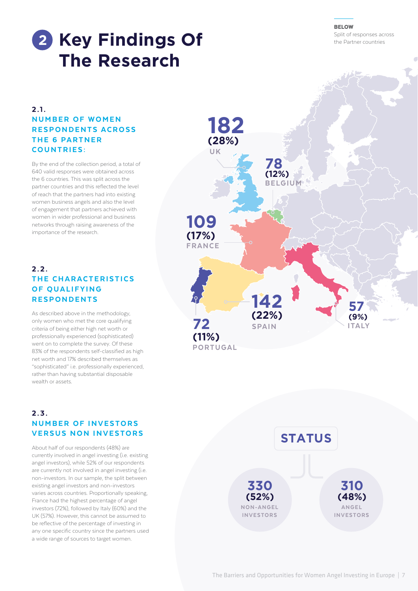#### The Barriers and Opportunities for Women Angel Investing in Europe | 7

**BELOW** 

# <span id="page-6-0"></span>**2** Key Findings Of **Example 2** in the Partner countries **The Research**

# 2.1. **NUMBER OF WOMEN** RESPONDENTS ACROSS THE 6 PARTNER COUNTRIES:

By the end of the collection period, a total of 640 valid responses were obtained across the 6 countries. This was split across the partner countries and this reflected the level of reach that the partners had into existing women business angels and also the level of engagement that partners achieved with women in wider professional and business networks through raising awareness of the importance of the research.

# 2.2. THE CHARACTERISTICS OF OUALIFYING RESPONDENTS

As described above in the methodology, only women who met the core qualifying criteria of being either high net worth or professionally experienced (sophisticated) went on to complete the survey. Of these 83% of the respondents self-classified as high net worth and 17% described themselves as "sophisticated" i.e. professionally experienced, rather than having substantial disposable wealth or assets.

# 2.3. **NUMBER OF INVESTORS** VERSUS NON INVESTORS

About half of our respondents (48%) are currently involved in angel investing (i.e. existing angel investors), while 52% of our respondents are currently not involved in angel investing (i.e. non-investors. In our sample, the split between existing angel investors and non-investors varies across countries. Proportionally speaking, France had the highest percentage of angel investors (72%), followed by Italy (60%) and the UK (57%). However, this cannot be assumed to be reflective of the percentage of investing in any one specific country since the partners used a wide range of sources to target women.



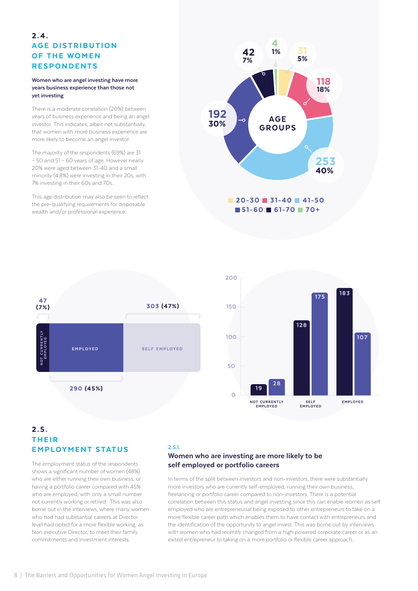# $2.4.$ **AGE DISTRIBUTION** OF THE WOMEN **RESPONDENTS**

#### **Women who are angel investing have more years business experience than those not yet investing**

There is a moderate correlation (20%) between years of business experience and being an angel investor. This indicates, albeit not substantially, that women with more business experience are more likely to become an angel investor.

The majority of the respondents (69%) are 31 – 50 and 51 – 60 years of age. However nearly 20% were aged between 31-40 and a small minority (4.8%) were investing in their 20s, with 7% investing in their 60s and 70s.

This age distribution may also be seen to reflect the pre-qualifying requirements for disposable wealth and/or professional experience.







## $2.5.$ **THEIR EMPLOYMENT STATUS**

The employment status of the respondents shows a significant number of women (48%) who are either running their own business, or having a portfolio career compared with 45% who are employed, with only a small number not currently working or retired. This was also borne out in the interviews, where many women who had had substantial careers at Director level had opted for a more flexible working, as Non executive Director, to meet their family commitments and investment interests.

#### 2.5.1.

## Women who are investing are more likely to be self employed or portfolio careers

In terms of the split between investors and non-investors, there were substantially more investors who are currently self-employed, running their own business, freelancing or portfolio career compared to non-investors. There is a potential correlation between this status and angel investing since this can enable women as self employed who are entrepreneurial being exposed to other entrepreneurs to take on a more flexible career path which enables them to have contact with entrepreneurs and the identification of the opportunity to angel invest. This was borne out by interviews with women who had recently changed from a high powered corporate career or as an exited entrepreneur to taking on a more portfolio or flexible career approach.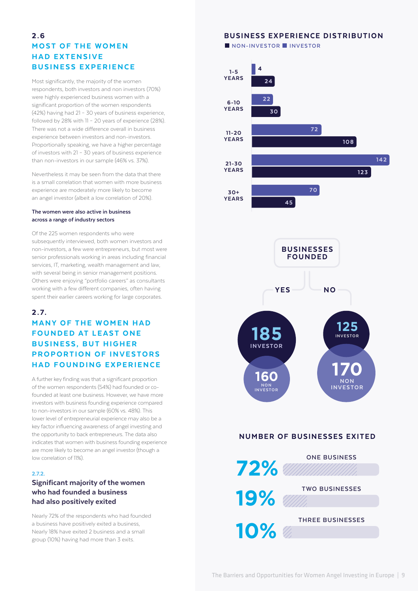# 2.6 **MOST OF THE WOMEN** HAD EXTENSIVE BUSINESS EXPERIENCE

Most significantly, the majority of the women respondents, both investors and non investors (70%) were highly experienced business women with a significant proportion of the women respondents (42%) having had 21 – 30 years of business experience, followed by 28% with 11 – 20 years of experience (28%). There was not a wide difference overall in business experience between investors and non-investors. Proportionally speaking, we have a higher percentage of investors with 21 – 30 years of business experience than non-investors in our sample (46% vs. 37%).

Nevertheless it may be seen from the data that there is a small correlation that women with more business experience are moderately more likely to become an angel investor (albeit a low correlation of 20%).

#### **The women were also active in business across a range of industry sectors**

Of the 225 women respondents who were subsequently interviewed, both women investors and non-investors, a few were entrepreneurs, but most were senior professionals working in areas including financial services, IT, marketing, wealth management and law, with several being in senior management positions. Others were enjoying "portfolio careers" as consultants working with a few different companies, often having spent their earlier careers working for large corporates.

## $2.7.$

# **MANY OF THE WOMEN HAD FOUNDED AT LEAST ONE BUSINESS, BUT HIGHER** PROPORTION OF INVESTORS HAD FOUNDING EXPERIENCE

A further key finding was that a significant proportion of the women respondents (54%) had founded or cofounded at least one business. However, we have more investors with business founding experience compared to non-investors in our sample (60% vs. 48%). This lower level of entrepreneurial experience may also be a key factor influencing awareness of angel investing and the opportunity to back entrepreneurs. The data also indicates that women with business founding experience are more likely to become an angel investor (though a low correlation of 11%).

## 2.7.2.

## Significant majority of the women who had founded a business had also positively exited

Nearly 72% of the respondents who had founded a business have positively exited a business, Nearly 18% have exited 2 business and a small group (10%) having had more than 3 exits.

# BUSINESS EXPERIENCE DISTRIBUTION

 **NON-INVESTOR INVESTOR**





## NUMBER OF BUSINESSES EXITED



**TWO BUSINESSES**

**10%**

**THREE BUSINESSES**

The Barriers and Opportunities for Women Angel Investing in Europe | 9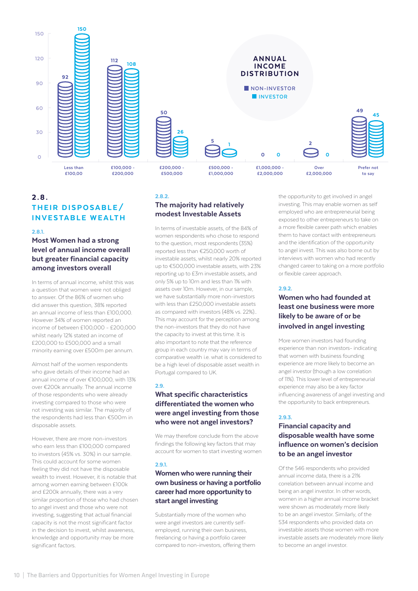

# 2.8. THEIR DISPOSABLE/ **INVESTABLE WEALTH**

2.8.1.

## Most Women had a strong level of annual income overall but greater financial capacity among investors overall

In terms of annual income, whilst this was a question that women were not obliged to answer. Of the 86% of women who did answer this question, 38% reported an annual income of less than £100,000. However 34% of women reported an income of between £100,000 - £200,000 whilst nearly 12% stated an income of £200,000 to £500,000 and a small minority earning over £500m per annum.

Almost half of the women respondents who gave details of their income had an annual income of over €100,000, with 13% over €200k annually. The annual income of those respondents who were already investing compared to those who were not investing was similar. The majority of the respondents had less than €500m in disposable assets.

However, there are more non-investors who earn less than £100,000 compared to investors (45% vs. 30%) in our sample. This could account for some women feeling they did not have the disposable wealth to invest. However, it is notable that among women earning between £100k and £200k annually, there was a very similar proportion of those who had chosen to angel invest and those who were not investing, suggesting that actual financial capacity is not the most significant factor in the decision to invest, whilst awareness, knowledge and opportunity may be more significant factors.

## 2.8.2. The majority had relatively modest Investable Assets

In terms of investable assets, of the 84% of women respondents who chose to respond to the question, most respondents (35%) reported less than €250,000 worth of investable assets, whilst nearly 20% reported up to €500,000 investable assets, with 23% reporting up to £3m investable assets, and only 5% up to 10m and less than 1% with assets over 10m. However, in our sample, we have substantially more non-investors with less than £250,000 investable assets as compared with investors (48% vs. 22%).. This may account for the perception among the non-investors that they do not have the capacity to invest at this time. It is also important to note that the reference group in each country may vary in terms of comparative wealth i.e. what is considered to be a high level of disposable asset wealth in Portugal compared to UK.

## 2.9.

## What specific characteristics differentiated the women who were angel investing from those who were not angel investors?

We may therefore conclude from the above findings the following key factors that may account for women to start investing women

#### 2.9.1.

## Women who were running their own business or having a portfolio career had more opportunity to start angel investing

Substantially more of the women who were angel investors are currently selfemployed, running their own business, freelancing or having a portfolio career compared to non-investors, offering them the opportunity to get involved in angel investing. This may enable women as self employed who are entrepreneurial being exposed to other entrepreneurs to take on a more flexible career path which enables them to have contact with entrepreneurs and the identification of the opportunity to angel invest. This was also borne out by interviews with women who had recently changed career to taking on a more portfolio or flexible career approach.

### 2.9.2.

## Women who had founded at least one business were more likely to be aware of or be involved in angel investing

More women investors had founding experience than non investors- indicating that women with business founding experience are more likely to become an angel investor (though a low correlation of 11%). This lower level of entrepreneurial experience may also be a key factor influencing awareness of angel investing and the opportunity to back entrepreneurs.

## 2.9.3.

## Financial capacity and disposable wealth have some influence on women's decision to be an angel investor

Of the 546 respondents who provided annual income data, there is a 21% correlation between annual income and being an angel investor. In other words, women in a higher annual income bracket were shown as moderately more likely to be an angel investor. Similarly, of the 534 respondents who provided data on investable assets those women with more investable assets are moderately more likely to become an angel investor.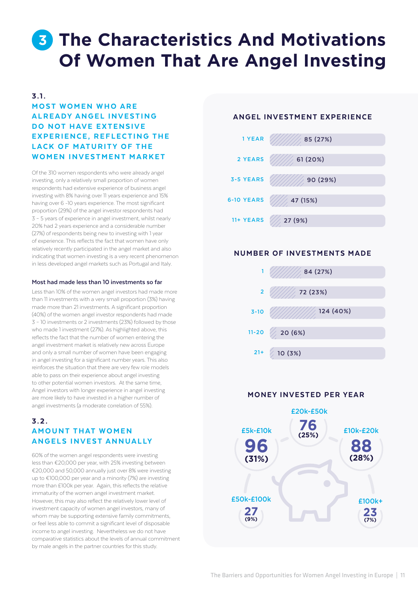# <span id="page-10-0"></span>**The Characteristics And Motivations 3 Of Women That Are Angel Investing**

## $3.1.$

# **MOST WOMEN WHO ARE** ALREADY ANGEL INVESTING DO NOT HAVE EXTENSIVE EXPERIENCE, REFLECTING THE LACK OF MATURITY OF THE WOMEN INVESTMENT MARKET

Of the 310 women respondents who were already angel investing, only a relatively small proportion of women respondents had extensive experience of business angel investing with 8% having over 11 years experience and 15% having over 6 -10 years experience. The most significant proportion (29%) of the angel investor respondents had 3 – 5 years of experience in angel investment, whilst nearly 20% had 2 years experience and a considerable number (27%) of respondents being new to investing with 1 year of experience. This reflects the fact that women have only relatively recently participated in the angel market and also indicating that women investing is a very recent phenomenon in less developed angel markets such as Portugal and Italy.

#### **Most had made less than 10 investments so far**

Less than 10% of the women angel investors had made more than 11 investments with a very small proportion (3%) having made more than 21 investments. A significant proportion (40%) of the women angel investor respondents had made 3 – 10 investments or 2 investments (23%) followed by those who made 1 investment (27%). As highlighted above, this reflects the fact that the number of women entering the angel investment market is relatively new across Europe and only a small number of women have been engaging in angel investing for a significant number years. This also reinforces the situation that there are very few role models able to pass on their experience about angel investing to other potential women investors. At the same time, Angel investors with longer experience in angel investing are more likely to have invested in a higher number of angel investments (a moderate correlation of 55%).

## $3.2.$ **AMOUNT THAT WOMEN** ANGELS INVEST ANNUALLY

60% of the women angel respondents were investing less than €20,000 per year, with 25% investing between €20,000 and 50,000 annually just over 8% were investing up to €100,000 per year and a minority (7%) are investing more than £100k per year. Again, this reflects the relative immaturity of the women angel investment market. However, this may also reflect the relatively lower level of investment capacity of women angel investors, many of whom may be supporting extensive family commitments, or feel less able to commit a significant level of disposable income to angel investing. Nevertheless we do not have comparative statistics about the levels of annual commitment by male angels in the partner countries for this study.

## ANGEL INVESTMENT EXPERIENCE



## NUMBER OF INVESTMENTS MADE



## MONEY INVESTED PER YEAR

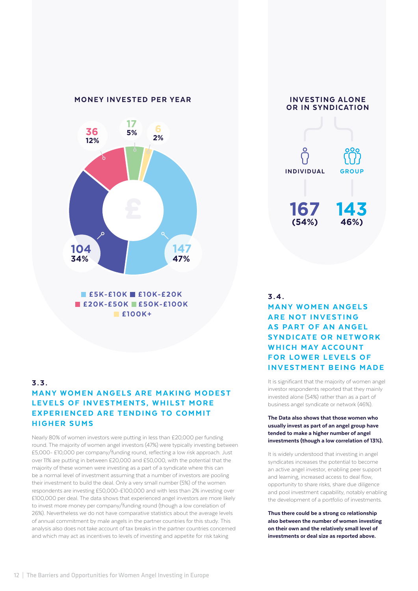

 $E5K-E10K E10K-E20K$ **E20K-£50K E50K-£100K** £100K+

# 3.3. MANY WOMEN ANGELS ARE MAKING MODEST LEVELS OF INVESTMENTS, WHILST MORE EXPERIENCED ARE TENDING TO COMMIT HIGHER SUMS

Nearly 80% of women investors were putting in less than £20,000 per funding round. The majority of women angel investors (47%) were typically investing between £5,000- £10,000 per company/funding round, reflecting a low risk approach. Just over 11% are putting in between £20,000 and £50,000, with the potential that the majority of these women were investing as a part of a syndicate where this can be a normal level of investment assuming that a number of investors are pooling their investment to build the deal. Only a very small number (5%) of the women respondents are investing £50,000-£100,000 and with less than 2% investing over £100,000 per deal. The data shows that experienced angel investors are more likely to invest more money per company/funding round (though a low correlation of 26%). Nevertheless we do not have comparative statistics about the average levels of annual commitment by male angels in the partner countries for this study. This analysis also does not take account of tax breaks in the partner countries concerned and which may act as incentives to levels of investing and appetite for risk taking



# $3.4.$ **MANY WOMEN ANGELS ARE NOT INVESTING** AS PART OF AN ANGEL SYNDICATE OR NETWORK WHICH MAY ACCOUNT FOR LOWER LEVELS OF **INVESTMENT BEING MADE**

It is significant that the majority of women angel investor respondents reported that they mainly invested alone (54%) rather than as a part of business angel syndicate or network (46%).

#### The Data also shows that those women who usually invest as part of an angel group have tended to make a higher number of angel investments (though a low correlation of 13%).

It is widely understood that investing in angel syndicates increases the potential to become an active angel investor, enabling peer support and learning, increased access to deal flow, opportunity to share risks, share due diligence and pool investment capability, notably enabling the development of a portfolio of investments.

Thus there could be a strong co relationship also between the number of women investing on their own and the relatively small level of investments or deal size as reported above.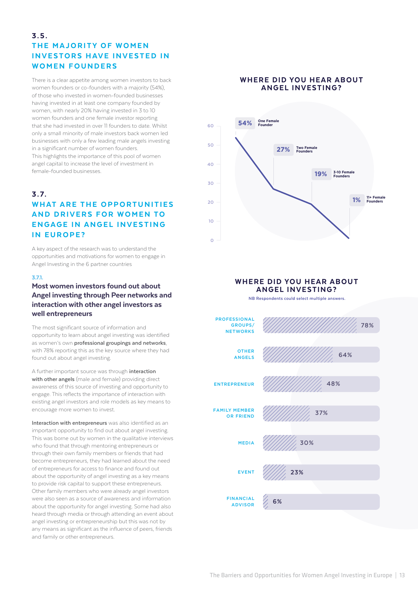# $3.5.$ THE MAJORITY OF WOMEN **INVESTORS HAVE INVESTED IN** WOMEN FOUNDERS

There is a clear appetite among women investors to back women founders or co-founders with a majority (54%), of those who invested in women-founded businesses having invested in at least one company founded by women, with nearly 20% having invested in 3 to 10 women founders and one female investor reporting that she had invested in over 11 founders to date. Whilst only a small minority of male investors back women led businesses with only a few leading male angels investing in a significant number of women founders. This highlights the importance of this pool of women angel capital to increase the level of investment in female-founded businesses.

# 3 . 7. WHAT ARE THE OPPORTUNITIES AND DRIVERS FOR WOMEN TO ENGAGE IN ANGEL INVESTING IN EUROPE?

A key aspect of the research was to understand the opportunities and motivations for women to engage in Angel Investing in the 6 partner countries

#### 3.7.1.

## Most women investors found out about Angel investing through Peer networks and interaction with other angel investors as well entrepreneurs

The most significant source of information and opportunity to learn about angel investing was identified as women's own **professional groupings and networks**, with 78% reporting this as the key source where they had found out about angel investing.

A further important source was through **interaction with other angels** (male and female) providing direct awareness of this source of investing and opportunity to engage. This reflects the importance of interaction with existing angel investors and role models as key means to encourage more women to invest.

**Interaction with entrepreneurs** was also identified as an important opportunity to find out about angel investing. This was borne out by women in the qualitative interviews who found that through mentoring entrepreneurs or through their own family members or friends that had become entrepreneurs, they had learned about the need of entrepreneurs for access to finance and found out about the opportunity of angel investing as a key means to provide risk capital to support these entrepreneurs. Other family members who were already angel investors were also seen as a source of awareness and information about the opportunity for angel investing. Some had also heard through media or through attending an event about angel investing or entrepreneurship but this was not by any means as significant as the influence of peers, friends and family or other entrepreneurs.

## WHERE DID YOU HEAR ABOUT ANGEL INVESTING?



## WHERE DID YOU HEAR ABOUT ANGEL INVESTING?

 **NB Respondents could select multiple answers.**

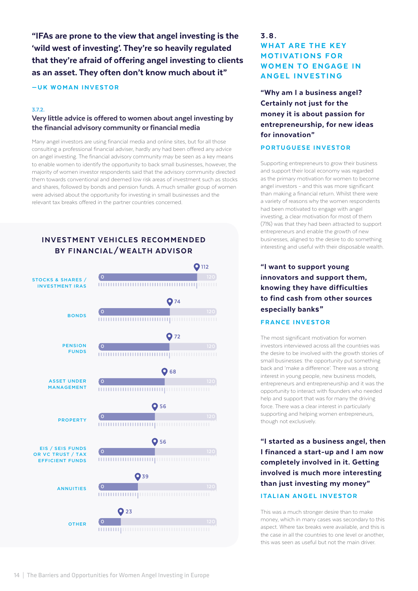"IFAs are prone to the view that angel investing is the 'wild west of investing'. They're so heavily regulated that they're afraid of offering angel investing to clients as an asset. They often don't know much about it"

## —UK WOMAN INVESTOR

#### 3.7.2.

## Very little advice is offered to women about angel investing by the financial advisory community or financial media

Many angel investors are using financial media and online sites, but for all those consulting a professional financial adviser, hardly any had been offered any advice on angel investing. The financial advisory community may be seen as a key means to enable women to identify the opportunity to back small businesses, however, the majority of women investor respondents said that the advisory community directed them towards conventional and deemed low risk areas of investment such as stocks and shares, followed by bonds and pension funds. A much smaller group of women were advised about the opportunity for investing in small businesses and the relevant tax breaks offered in the partner countries concerned.



# 3 . 8 . WHAT ARE THE KEY **MOTIVATIONS FOR WOMEN TO ENGAGE IN ANGEL INVESTING**

"Why am I a business angel? Certainly not just for the money it is about passion for entrepreneurship, for new ideas for innovation"

## PORTUGUESE INVESTOR

Supporting entrepreneurs to grow their business and support their local economy was regarded as the primary motivation for women to become angel investors - and this was more significant than making a financial return. Whilst there were a variety of reasons why the women respondents had been motivated to engage with angel investing, a clear motivation for most of them (71%) was that they had been attracted to support entrepreneurs and enable the growth of new businesses, aligned to the desire to do something interesting and useful with their disposable wealth.

# "I want to support young innovators and support them, knowing they have difficulties to find cash from other sources especially banks"

## FRANCE INVESTOR

The most significant motivation for women investors interviewed across all the countries was the desire to be involved with the growth stories of small businesses: the opportunity put something back and 'make a difference'. There was a strong interest in young people, new business models, entrepreneurs and entrepreneurship and it was the opportunity to interact with founders who needed help and support that was for many the driving force. There was a clear interest in particularly supporting and helping women entrepreneurs, though not exclusively.

"I started as a business angel, then I financed a start-up and I am now completely involved in it. Getting involved is much more interesting than just investing my money" ITALIAN ANGEL INVESTOR

This was a much stronger desire than to make money, which in many cases was secondary to this aspect. Where tax breaks were available, and this is the case in all the countries to one level or another, this was seen as useful but not the main driver.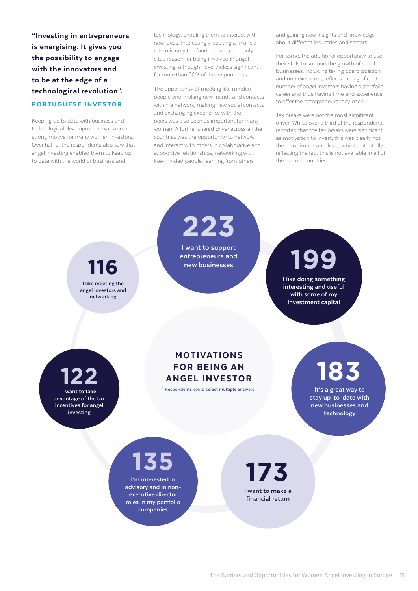"Investing in entrepreneurs is energising. It gives you the possibility to engage with the innovators and to be at the edge of a technological revolution". PORTUGUESE INVESTOR

Keeping up to date with business and technological developments was also a strong motive for many women investors: Over half of the respondents also saw that angel investing enabled them to keep up to date with the world of business and

technology, enabling them to interact with new ideas. Interestingly, seeking a financial return is only the fourth most commonly cited reason for being involved in angel investing, although nevertheless significant for more than 50% of the respondents.

The opportunity of meeting like minded people and making new friends and contacts within a network, making new social contacts and exchanging experience with their peers was also seen as important for many women. A further shared driver across all the countries was the opportunity to network and interact with others in collaborative and supportive relationships, networking with like-minded people, learning from others

and gaining new insights and knowledge about different industries and sectors.

For some, the additional opportunity to use their skills to support the growth of small businesses, including taking board position and non exec roles, reflects the significant number of angel investors having a portfolio career and thus having time and experience to offer the entrepreneurs they back.

Tax breaks were not the most significant driver: Whilst over a third of the respondents reported that the tax breaks were significant as motivation to invest, this was clearly not the most important driver, whilst potentially reflecting the fact this is not available in all of the partner countries.

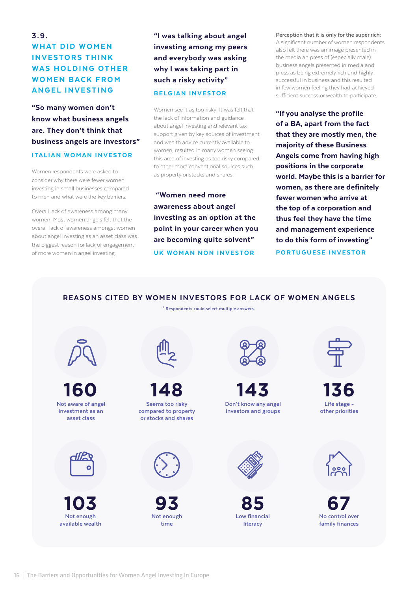# 3.9. **WHAT DID WOMEN INVESTORS THINK** WAS HOLDING OTHER **WOMEN BACK FROM** ANGEL INVESTING

"So many women don't know what business angels are. They don't think that business angels are investors" ITALIAN WOMAN INVESTOR

Women respondents were asked to consider why there were fewer women investing in small businesses compared to men and what were the key barriers.

Overall lack of awareness among many women: Most women angels felt that the overall lack of awareness amongst women about angel investing as an asset class was the biggest reason for lack of engagement of more women in angel investing.

"I was talking about angel investing among my peers and everybody was asking why I was taking part in such a risky activity" BELGIAN INVESTOR

Women see it as too risky: It was felt that the lack of information and guidance about angel investing and relevant tax support given by key sources of investment and wealth advice currently available to women, resulted in many women seeing this area of investing as too risky compared to other more conventional sources such as property or stocks and shares.

 "Women need more awareness about angel investing as an option at the point in your career when you are becoming quite solvent" UK WOMAN NON INVESTOR

**Perception that it is only for the super rich:**  A significant number of women respondents also felt there was an image presented in the media an press of (especially male) business angels presented in media and press as being extremely rich and highly successful in business and this resulted in few women feeling they had achieved sufficient success or wealth to participate.

"If you analyse the profile of a BA, apart from the fact that they are mostly men, the majority of these Business Angels come from having high positions in the corporate world. Maybe this is a barrier for women, as there are definitely fewer women who arrive at the top of a corporation and thus feel they have the time and management experience to do this form of investing" PORTUGUESE INVESTOR

## REASONS CITED BY WOMEN INVESTORS FOR LACK OF WOMEN ANGELS

**2 Respondents could select multiple answers.**

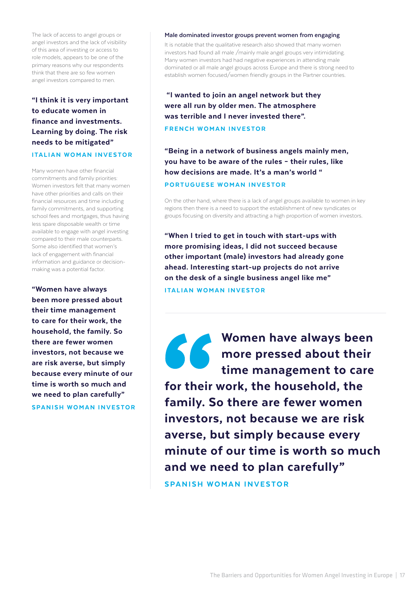The lack of access to angel groups or angel investors and the lack of visibility of this area of investing or access to role models, appears to be one of the primary reasons why our respondents think that there are so few women angel investors compared to men.

# "I think it is very important to educate women in finance and investments. Learning by doing. The risk needs to be mitigated"

## ITALIAN WOMAN INVESTOR

Many women have other financial commitments and family priorities: Women investors felt that many women have other priorities and calls on their financial resources and time including family commitments, and supporting school fees and mortgages, thus having less spare disposable wealth or time available to engage with angel investing compared to their male counterparts. Some also identified that women's lack of engagement with financial information and guidance or decisionmaking was a potential factor.

"Women have always been more pressed about their time management to care for their work, the household, the family. So there are fewer women investors, not because we are risk averse, but simply because every minute of our time is worth so much and we need to plan carefully" SPANISH WOMAN INVESTOR

#### **Male dominated investor groups prevent women from engaging**

It is notable that the qualitative research also showed that many women investors had found all male /mainly male angel groups very intimidating. Many women investors had had negative experiences in attending male dominated or all male angel groups across Europe and there is strong need to establish women focused/women friendly groups in the Partner countries.

 "I wanted to join an angel network but they were all run by older men. The atmosphere was terrible and I never invested there".

## FRENCH WOMAN INVESTOR

"Being in a network of business angels mainly men, you have to be aware of the rules – their rules, like how decisions are made. It's a man's world " PORTUGUESE WOMAN INVESTOR

On the other hand, where there is a lack of angel groups available to women in key regions then there is a need to support the establishment of new syndicates or groups focusing on diversity and attracting a high proportion of women investors.

"When I tried to get in touch with start-ups with more promising ideas, I did not succeed because other important (male) investors had already gone ahead. Interesting start-up projects do not arrive on the desk of a single business angel like me" ITALIAN WOMAN INVESTOR

Women have always been more pressed about their time management to care

for their work, the household, the family. So there are fewer women investors, not because we are risk averse, but simply because every minute of our time is worth so much and we need to plan carefully"

SPANISH WOMAN INVESTOR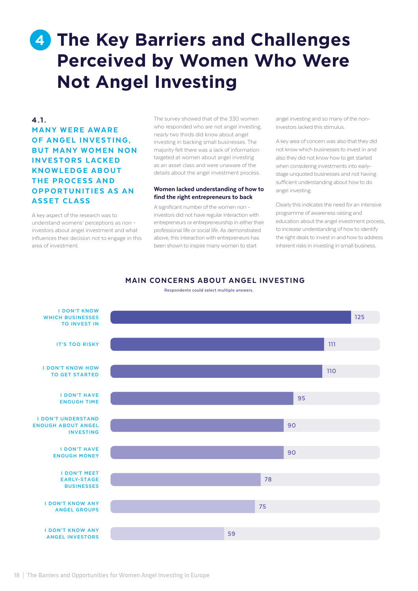# <span id="page-17-0"></span>**4** The Key Barriers and Challenges **Perceived by Women Who Were Not Angel Investing**

# 4.1. **MANY WERE AWARE** OF ANGEL INVESTING. **BUT MANY WOMEN NON INVESTORS LACKED KNOWLEDGE ABOUT** THE PROCESS AND OPPORTUNITIES AS AN **ASSET CLASS**

A key aspect of the research was to understand womens' perceptions as non – investors about angel investment and what influences their decision not to engage in this area of investment.

The survey showed that of the 330 women who responded who are not angel investing. nearly two thirds did know about angel investing in backing small businesses. The majority felt there was a lack of information targeted at women about angel investing as an asset class and were unaware of the details about the angel investment process.

#### Women lacked understanding of how to find the right entrepreneurs to back

A significant number of the women non investors did not have regular interaction with entrepreneurs or entrepreneurship in either their professional life or social life. As demonstrated above, this interaction with entrepreneurs has been shown to inspire many women to start

angel investing and so many of the noninvestors lacked this stimulus.

A key area of concern was also that they did not know which businesses to invest in and also they did not know how to get started when considering investments into earlystage unquoted businesses and not having sufficient understanding about how to do angel investing.

Clearly this indicates the need for an intensive programme of awareness raising and education about the angel investment process to increase understanding of how to identify the right deals to invest in and how to address inherent risks in investing in small business.

## MAIN CONCERNS ABOUT ANGEL INVESTING

**Respondents could select multiple answers.**

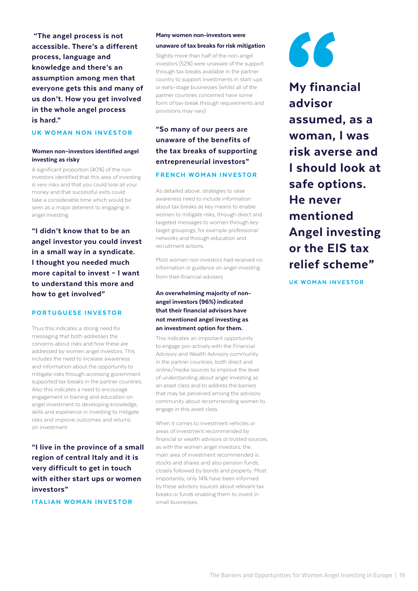"The angel process is not accessible. There's a different process, language and knowledge and there's an assumption among men that everyone gets this and many of us don't. How you get involved in the whole angel process is hard."

## UK WOMAN NON INVESTOR

## Women non–investors identified angel investing as risky

A significant proportion (40%) of the non investors identified that this area of investing is very risky and that you could lose all your money and that successful exits could take a considerable time which would be seen as a major deterrent to engaging in angel investing.

"I didn't know that to be an angel investor you could invest in a small way in a syndicate. I thought you needed much more capital to invest – I want to understand this more and how to get involved"

#### PORTUGUESE INVESTOR

Thus this indicates a strong need for messaging that both addresses the concerns about risks and how these are addressed by women angel investors. This includes the need to increase awareness and information about the opportunity to mitigate risks through accessing government supported tax breaks in the partner countries. Also this indicates a need to encourage engagement in training and education on angel investment to developing knowledge, skills and experience in investing to mitigate risks and improve outcomes and returns on investment

"I live in the province of a small region of central Italy and it is very difficult to get in touch with either start ups or women investors"

ITALIAN WOMAN INVESTOR

#### Many women non-investors were

#### unaware of tax breaks for risk mitigation

Slightly more than half of the non-angel investors (52%) were unaware of the support through tax breaks available in the partner country to support investments in start-ups or early-stage businesses (whilst all of the partner countries concerned have some form of tax-break through requirements and provisions may vary)

# "So many of our peers are unaware of the benefits of the tax breaks of supporting entrepreneurial investors" FRENCH WOMAN INVESTOR

As detailed above, strategies to raise awareness need to include information about tax breaks as key means to enable women to mitigate risks, through direct and targeted messages to women through key target groupings, for example professional networks and through education and recruitment actions.

Most women non investors had received no information or guidance on angel investing from their financial advisers

## An overwhelming majority of nonangel investors (96%) indicated that their financial advisors have not mentioned angel investing as an investment option for them.

This indicates an important opportunity to engage pro-actively with the Financial Advisory and Wealth Advisory community in the partner countries, both direct and online/media sources to improve the level of understanding about angel investing as an asset class and to address the barriers that may be perceived among the advisory community about recommending women to engage in this asset class.

When it comes to investment vehicles or areas of investment recommended by financial or wealth advisors or trusted sources, as with the women angel investors, the main area of investment recommended is stocks and shares and also pension funds, closely followed by bonds and property. Most importantly, only 14% have been informed by these advisory sources about relevant tax breaks or funds enabling them to invest in small businesses.



My financial advisor assumed, as a woman, I was risk averse and I should look at safe options. He never mentioned Angel investing or the EIS tax relief scheme"

UK WOMAN INVESTOR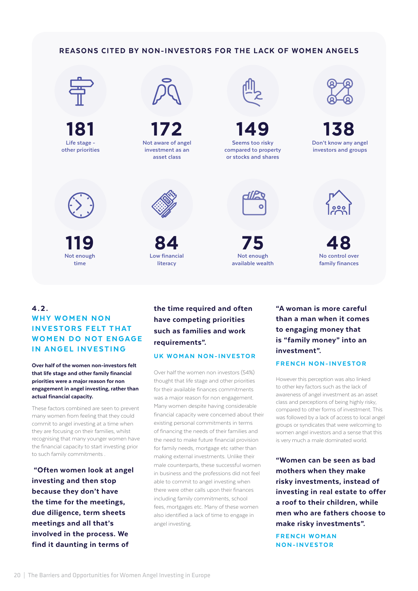## REASONS CITED BY NON-INVESTORS FOR THE LACK OF WOMEN ANGELS



**181 Life stage other priorities**



**Not enough time 119**



**172 Not aware of angel investment as an asset class**





**Low financial literacy 84**



**149**

**Not enough available wealth 75**



**Don't know any angel investors and groups 138**



**No control over family finances 48**

## 4.2. WHY WOMEN NON **INVESTORS FELT THAT WOMEN DO NOT ENGAGE** IN ANGEL INVESTING

Over half of the women non-investors felt that life stage and other family financial priorities were a major reason for non engagement in angel investing, rather than actual financial capacity.

These factors combined are seen to prevent many women from feeling that they could commit to angel investing at a time when they are focusing on their families, whilst recognising that many younger women have the financial capacity to start investing prior to such family commitments .

 "Often women look at angel investing and then stop because they don't have the time for the meetings, due diligence, term sheets meetings and all that's involved in the process. We find it daunting in terms of

# the time required and often have competing priorities such as families and work requirements".

## UK WOMAN NON-INVESTOR

Over half the women non investors (54%) thought that life stage and other priorities for their available finances commitments was a major reason for non engagement. Many women despite having considerable financial capacity were concerned about their existing personal commitments in terms of financing the needs of their families and the need to make future financial provision for family needs, mortgage etc rather than making external investments. Unlike their male counterparts, these successful women in business and the professions did not feel able to commit to angel investing when there were other calls upon their finances including family commitments, school fees, mortgages etc. Many of these women also identified a lack of time to engage in angel investing.

"A woman is more careful than a man when it comes to engaging money that is "family money" into an investment".

#### FRENCH NON-INVESTOR

However this perception was also linked to other key factors such as the lack of awareness of angel investment as an asset class and perceptions of being highly risky, compared to other forms of investment. This was followed by a lack of access to local angel groups or syndicates that were welcoming to women angel investors and a sense that this is very much a male dominated world.

"Women can be seen as bad mothers when they make risky investments, instead of investing in real estate to offer a roof to their children, while men who are fathers choose to make risky investments".

FRENCH WOMAN NON-INVESTOR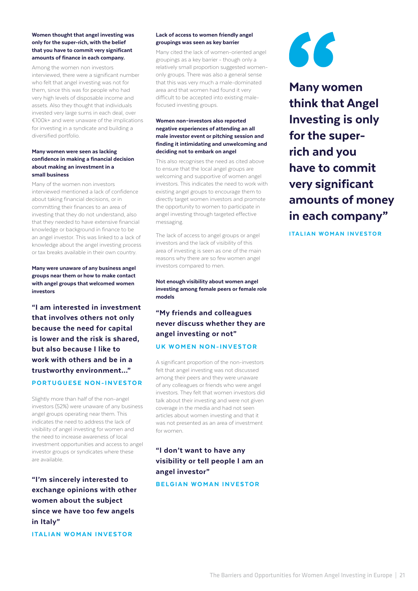#### Women thought that angel investing was only for the super-rich, with the belief that you have to commit very significant amounts of finance in each company.

Among the women non investors interviewed, there were a significant number who felt that angel investing was not for them, since this was for people who had very high levels of disposable income and assets. Also they thought that individuals invested very large sums in each deal, over €100k+ and were unaware of the implications for investing in a syndicate and building a diversified portfolio.

#### Many women were seen as lacking confidence in making a financial decision about making an investment in a small business

Many of the women non investors interviewed mentioned a lack of confidence about taking financial decisions, or in committing their finances to an area of investing that they do not understand, also that they needed to have extensive financial knowledge or background in finance to be an angel investor. This was linked to a lack of knowledge about the angel investing process or tax breaks available in their own country.

Many were unaware of any business angel groups near them or how to make contact with angel groups that welcomed women investors

"I am interested in investment that involves others not only because the need for capital is lower and the risk is shared, but also because I like to work with others and be in a trustworthy environment…" PORTUGUESE NON-INVESTOR

Slightly more than half of the non-angel investors (52%) were unaware of any business angel groups operating near them. This indicates the need to address the lack of visibility of angel investing for women and the need to increase awareness of local investment opportunities and access to angel investor groups or syndicates where these are available.

"I'm sincerely interested to exchange opinions with other women about the subject since we have too few angels in Italy"

ITALIAN WOMAN INVESTOR

#### Lack of access to women friendly angel groupings was seen as key barrier

Many cited the lack of women-oriented angel groupings as a key barrier - though only a relatively small proportion suggested womenonly groups. There was also a general sense that this was very much a male-dominated area and that women had found it very difficult to be accepted into existing malefocused investing groups.

#### Women non–investors also reported negative experiences of attending an all male investor event or pitching session and finding it intimidating and unwelcoming and deciding not to embark on angel

This also recognises the need as cited above to ensure that the local angel groups are welcoming and supportive of women angel investors. This indicates the need to work with existing angel groups to encourage them to directly target women investors and promote the opportunity to women to participate in angel investing through targeted effective messaging.

The lack of access to angel groups or angel investors and the lack of visibility of this area of investing is seen as one of the main reasons why there are so few women angel investors compared to men.

Not enough visibility about women angel investing among female peers or female role models

# "My friends and colleagues never discuss whether they are angel investing or not"

## UK WOMEN NON-INVESTOR

A significant proportion of the non-investors felt that angel investing was not discussed among their peers and they were unaware of any colleagues or friends who were angel investors. They felt that women investors did talk about their investing and were not given coverage in the media and had not seen articles about women investing and that it was not presented as an area of investment for women.

# "I don't want to have any visibility or tell people I am an angel investor"

#### BELGIAN WOMAN INVESTOR



Many women think that Angel Investing is only for the superrich and you have to commit very significant amounts of money in each company"

ITALIAN WOMAN INVESTOR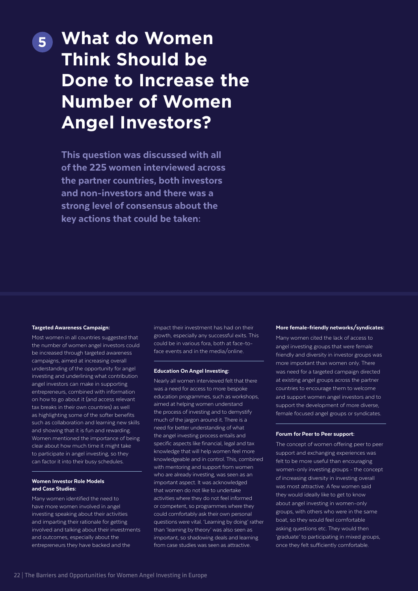# <span id="page-21-0"></span>**What do Women 5 Think Should be Done to Increase the Number of Women Angel Investors?**

This question was discussed with all of the 225 women interviewed across the partner countries, both investors and non-investors and there was a strong level of consensus about the key actions that could be taken:

#### Targeted Awareness Campaign:

Most women in all countries suggested that the number of women angel investors could be increased through targeted awareness campaigns, aimed at increasing overall understanding of the opportunity for angel investing and underlining what contribution angel investors can make in supporting entrepreneurs, combined with information on how to go about it (and access relevant tax breaks in their own countries) as well as highlighting some of the softer benefits such as collaboration and learning new skills and showing that it is fun and rewarding. Women mentioned the importance of being clear about how much time it might take to participate in angel investing, so they can factor it into their busy schedules.

#### Women Investor Role Models and Case Studies:

Many women identified the need to have more women involved in angel investing speaking about their activities and imparting their rationale for getting involved and talking about their investments and outcomes, especially about the entrepreneurs they have backed and the

impact their investment has had on their growth, especially any successful exits. This could be in various fora, both at face-toface events and in the media/online.

#### Education On Angel Investing:

Nearly all women interviewed felt that there was a need for access to more bespoke education programmes, such as workshops, aimed at helping women understand the process of investing and to demystify much of the jargon around it. There is a need for better understanding of what the angel investing process entails and specific aspects like financial, legal and tax knowledge that will help women feel more knowledgeable and in control. This, combined with mentoring and support from women who are already investing, was seen as an important aspect. It was acknowledged that women do not like to undertake activities where they do not feel informed or competent, so programmes where they could comfortably ask their own personal questions were vital. 'Learning by doing' rather than 'learning by theory' was also seen as important, so shadowing deals and learning from case studies was seen as attractive.

#### More female-friendly networks/syndicates:

Many women cited the lack of access to angel investing groups that were female friendly and diversity in investor groups was more important than women only. There was need for a targeted campaign directed at existing angel groups across the partner countries to encourage them to welcome and support women angel investors and to support the development of more diverse, female focused angel groups or syndicates.

#### Forum for Peer to Peer support:

The concept of women offering peer to peer support and exchanging experiences was felt to be more useful than encouraging women-only investing groups - the concept of increasing diversity in investing overall was most attractive. A few women said they would ideally like to get to know about angel investing in women-only groups, with others who were in the same boat, so they would feel comfortable asking questions etc. They would then 'graduate' to participating in mixed groups, once they felt sufficiently comfortable.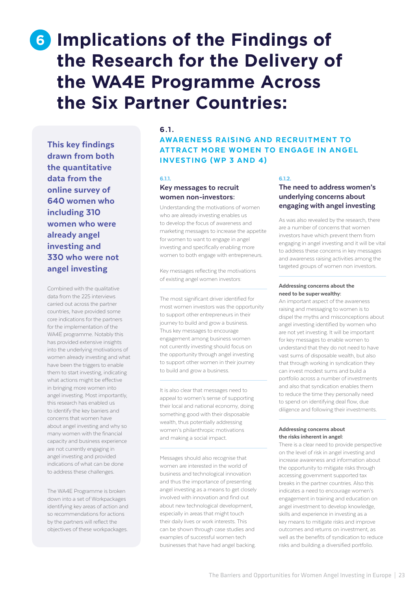# <span id="page-22-0"></span>**6** Implications of the Findings of **the Research for the Delivery of the WA4E Programme Across the Six Partner Countries:**

This key findings drawn from both the quantitative data from the online survey of 640 women who including 310 women who were already angel investing and 330 who were not angel investing

Combined with the qualitative data from the 225 interviews carried out across the partner countries, have provided some core indications for the partners for the implementation of the WA4E programme. Notably this has provided extensive insights into the underlying motivations of women already investing and what have been the triggers to enable them to start investing, indicating what actions might be effective in bringing more women into angel investing. Most importantly, this research has enabled us to identify the key barriers and concerns that women have about angel investing and why so many women with the financial capacity and business experience are not currently engaging in angel investing and provided indications of what can be done to address these challenges.

The WA4E Programme is broken down into a set of Workpackages identifying key areas of action and so recommendations for actions by the partners will reflect the objectives of these workpackages.

## 6.1.

## AWARENESS RAISING AND RECRUITMENT TO ATTRACT MORE WOMEN TO ENGAGE IN ANGEL INVESTING (WP 3 AND 4)

#### 6.1.1.

## Key messages to recruit women non-investors:

Understanding the motivations of women who are already investing enables us to develop the focus of awareness and marketing messages to increase the appetite for women to want to engage in angel investing and specifically enabling more women to both engage with entrepreneurs.

Key messages reflecting the motivations of existing angel women investors:

The most significant driver identified for most women investors was the opportunity to support other entrepreneurs in their journey to build and grow a business. Thus key messages to encourage engagement among business women not currently investing should focus on the opportunity through angel investing to support other women in their journey to build and grow a business.

It is also clear that messages need to appeal to women's sense of supporting their local and national economy, doing something good with their disposable wealth, thus potentially addressing women's philanthropic motivations and making a social impact.

Messages should also recognise that women are interested in the world of business and technological innovation and thus the importance of presenting angel investing as a means to get closely involved with innovation and find out about new technological development, especially in areas that might touch their daily lives or work interests. This can be shown through case studies and examples of successful women tech businesses that have had angel backing.

#### 6.1.2.

## The need to address women's underlying concerns about engaging with angel investing

As was also revealed by the research, there are a number of concerns that women investors have which prevent them from engaging in angel investing and it will be vital to address these concerns in key messages and awareness raising activities among the targeted groups of women non investors.

#### Addressing concerns about the need to be super wealthy:

An important aspect of the awareness raising and messaging to women is to dispel the myths and misconceptions about angel investing identified by women who are not yet investing. It will be important for key messages to enable women to understand that they do not need to have vast sums of disposable wealth, but also that through working in syndication they can invest modest sums and build a portfolio across a number of investments and also that syndication enables them to reduce the time they personally need to spend on identifying deal flow, due diligence and following their investments.

#### Addressing concerns about the risks inherent in angel:

There is a clear need to provide perspective on the level of risk in angel investing and increase awareness and information about the opportunity to mitigate risks through accessing government supported tax breaks in the partner countries. Also this indicates a need to encourage women's engagement in training and education on angel investment to develop knowledge, skills and experience in investing as a key means to mitigate risks and improve outcomes and returns on investment, as well as the benefits of syndication to reduce risks and building a diversified portfolio.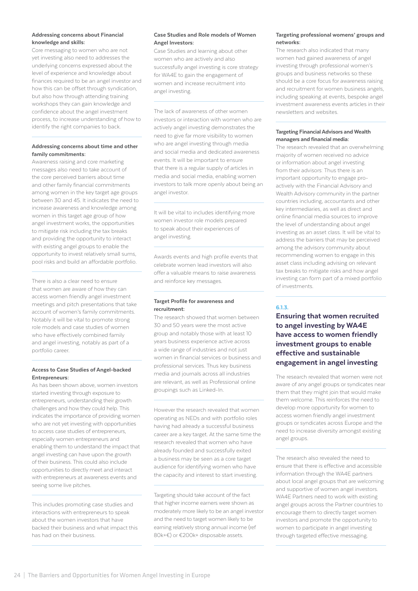#### Addressing concerns about Financial knowledge and skills:

Core messaging to women who are not yet investing also need to addresses the underlying concerns expressed about the level of experience and knowledge about finances required to be an angel investor and how this can be offset through syndication, but also how through attending training workshops they can gain knowledge and confidence about the angel investment process, to increase understanding of how to identify the right companies to back.

### Addressing concerns about time and other family commitments:

Awareness raising and core marketing messages also need to take account of the core perceived barriers about time and other family financial commitments among women in the key target age groups between 30 and 45. It indicates the need to increase awareness and knowledge among women in this target age group of how angel investment works, the opportunities to mitigate risk including the tax breaks and providing the opportunity to interact with existing angel groups to enable the opportunity to invest relatively small sums, pool risks and build an affordable portfolio.

There is also a clear need to ensure that women are aware of how they can access women friendly angel investment meetings and pitch presentations that take account of women's family commitments. Notably it will be vital to promote strong role models and case studies of women who have effectively combined family and angel investing, notably as part of a portfolio career.

#### Access to Case Studies of Angel-backed Entrepreneurs:

As has been shown above, women investors started investing through exposure to entrepreneurs, understanding their growth challenges and how they could help. This indicates the importance of providing women who are not yet investing with opportunities to access case studies of entrepreneurs, especially women entrepreneurs and enabling them to understand the impact that angel investing can have upon the growth of their business. This could also include opportunities to directly meet and interact with entrepreneurs at awareness events and seeing some live pitches.

This includes promoting case studies and interactions with entrepreneurs to speak about the women investors that have backed their business and what impact this has had on their business.

#### Case Studies and Role models of Women Angel Investors:

Case Studies and learning about other women who are actively and also successfully angel investing is core strategy for WA4E to gain the engagement of women and increase recruitment into angel investing.

The lack of awareness of other women investors or interaction with women who are actively angel investing demonstrates the need to give far more visibility to women who are angel investing through media and social media and dedicated awareness events. It will be important to ensure that there is a regular supply of articles in media and social media, enabling women investors to talk more openly about being an angel investor.

It will be vital to includes identifying more women investor role models prepared to speak about their experiences of angel investing.

Awards events and high profile events that celebrate women lead investors will also offer a valuable means to raise awareness and reinforce key messages.

#### Target Profile for awareness and recruitment:

The research showed that women between 30 and 50 years were the most active group and notably those with at least 10 years business experience active across a wide range of industries and not just women in financial services or business and professional services. Thus key business media and journals across all industries are relevant, as well as Professional online groupings such as Linked-In.

However the research revealed that women operating as NEDs and with portfolio roles having had already a successful business career are a key target. At the same time the research revealed that women who have already founded and successfully exited a business may be seen as a core target audience for identifying women who have the capacity and interest to start investing.

Targeting should take account of the fact that higher income earners were shown as moderately more likely to be an angel investor and the need to target women likely to be earning relatively strong annual income (ref 80k+€) or €200k+ disposable assets.

#### Targeting professional womens' groups and networks:

The research also indicated that many women had gained awareness of angel investing through professional women's groups and business networks so these should be a core focus for awareness raising and recruitment for women business angels, including speaking at events, bespoke angel investment awareness events articles in their newsletters and websites.

#### Targeting Financial Advisors and Wealth managers and financial media:

The research revealed that an overwhelming majority of women received no advice or information about angel investing from their advisors: Thus there is an important opportunity to engage proactively with the Financial Advisory and Wealth Advisory community in the partner countries including, accountants and other key intermediaries, as well as direct and online financial media sources to improve the level of understanding about angel investing as an asset class. It will be vital to address the barriers that may be perceived among the advisory community about recommending women to engage in this asset class including advising on relevant tax breaks to mitigate risks and how angel investing can form part of a mixed portfolio of investments.

## 6.1.3.

Ensuring that women recruited to angel investing by WA4E have access to women friendly investment groups to enable effective and sustainable engagement in angel investing

The research revealed that women were not aware of any angel groups or syndicates near them that they might join that would make them welcome. This reinforces the need to develop more opportunity for women to access women friendly angel investment groups or syndicates across Europe and the need to increase diversity amongst existing angel groups.

The research also revealed the need to ensure that there is effective and accessible information through the WA4E partners about local angel groups that are welcoming and supportive of women angel investors. WA4E Partners need to work with existing angel groups across the Partner countries to encourage them to directly target women investors and promote the opportunity to women to participate in angel investing through targeted effective messaging.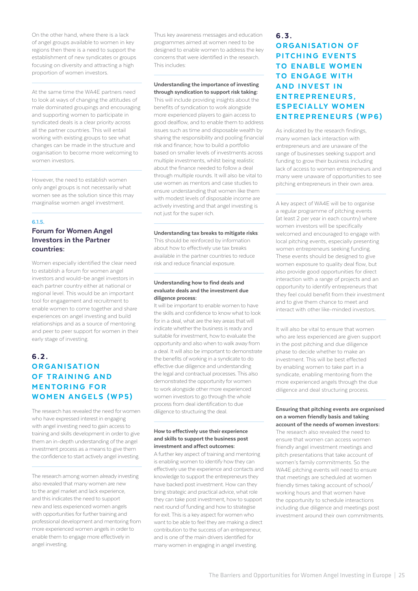On the other hand, where there is a lack of angel groups available to women in key regions then there is a need to support the establishment of new syndicates or groups focusing on diversity and attracting a high proportion of women investors.

At the same time the WA4E partners need to look at ways of changing the attitudes of male dominated groupings and encouraging and supporting women to participate in syndicated deals is a clear priority across all the partner countries. This will entail working with existing groups to see what changes can be made in the structure and organisation to become more welcoming to women investors.

However, the need to establish women only angel groups is not necessarily what women see as the solution since this may marginalise women angel investment.

#### 6.1.5.

## Forum for Women Angel Investors in the Partner countries:

Women especially identified the clear need to establish a forum for women angel investors and would–be angel investors in each partner country either at national or regional level. This would be an important tool for engagement and recruitment to enable women to come together and share experiences on angel investing and build relationships and as a source of mentoring and peer to peer support for women in their early stage of investing.

# 6.2. **ORGANISATION** OF TRAINING AND **MENTORING FOR WOMEN ANGELS (WP5)**

The research has revealed the need for women who have expressed interest in engaging with angel investing need to gain access to training and skills development in order to give them an in-depth understanding of the angel investment process as a means to give them the confidence to start actively angel investing.

The research among women already investing also revealed that many women are new to the angel market and lack experience, and this indicates the need to support new and less experienced women angels with opportunities for further training and professional development and mentoring from more experienced women angels in order to enable them to engage more effectively in angel investing.

Thus key awareness messages and education programmes aimed at women need to be designed to enable women to address the key concerns that were identified in the research. This includes:

#### Understanding the importance of investing through syndication to support risk taking:

This will include providing insights about the benefits of syndication to work alongside more experienced players to gain access to good dealflow, and to enable them to address issues such as time and disposable wealth by sharing the responsibility and pooling financial risk and finance; how to build a portfolio based on smaller levels of investments across multiple investments, whilst being realistic about the finance needed to follow a deal through multiple rounds. It will also be vital to use women as mentors and case studies to ensure understanding that women like them with modest levels of disposable income are actively investing and that angel investing is not just for the super rich.

#### Understanding tax breaks to mitigate risks:

This should be reinforced by information about how to effectively use tax breaks available in the partner countries to reduce risk and reduce financial exposure.

#### Understanding how to find deals and evaluate deals and the investment due diligence process:

It will be important to enable women to have the skills and confidence to know what to look for in a deal, what are the key areas that will indicate whether the business is ready and suitable for investment, how to evaluate the opportunity and also when to walk away from a deal. It will also be important to demonstrate the benefits of working in a syndicate to do effective due diligence and understanding the legal and contractual processes. This also demonstrated the opportunity for women to work alongside other more experienced women investors to go through the whole process from deal identification to due diligence to structuring the deal.

#### How to effectively use their experience and skills to support the business post investment and affect outcomes:

A further key aspect of training and mentoring is enabling women to identify how they can effectively use the experience and contacts and knowledge to support the entrepreneurs they have backed post investment. How can they bring strategic and practical advice, what role they can take post investment, how to support next round of funding and how to strategise for exit. This is a key aspect for women who want to be able to feel they are making a direct contribution to the success of an entrepreneur, and is one of the main drivers identified for many women in engaging in angel investing.

#### 6.3.

# **ORGANISATION OF** PITCHING EVENTS TO ENABLE WOMEN **TO ENGAGE WITH AND INVEST IN** ENTREPRENEURS. ESPECIALLY WOMEN ENTREPRENEURS (WP6)

As indicated by the research findings, many women lack interaction with entrepreneurs and are unaware of the range of businesses seeking support and funding to grow their business including lack of access to women entrepreneurs and many were unaware of opportunities to see pitching entrepreneurs in their own area.

A key aspect of WA4E will be to organise a regular programme of pitching events (at least 2 per year in each country) where women investors will be specifically welcomed and encouraged to engage with local pitching events, especially presenting women entrepreneurs seeking funding. These events should be designed to give women exposure to quality deal flow, but also provide good opportunities for direct interaction with a range of projects and an opportunity to identify entrepreneurs that they feel could benefit from their investment and to give them chance to meet and interact with other like-minded investors.

It will also be vital to ensure that women who are less experienced are given support in the post pitching and due diligence phase to decide whether to make an investment. This will be best effected by enabling women to take part in a syndicate, enabling mentoring from the more experienced angels through the due diligence and deal structuring process.

#### Ensuring that pitching events are organised on a women friendly basis and taking account of the needs of women investors:

The research also revealed the need to ensure that women can access women friendly angel investment meetings and pitch presentations that take account of women's family commitments. So the WA4E pitching events will need to ensure that meetings are scheduled at women friendly times taking account of school/ working hours and that women have the opportunity to schedule interactions including due diligence and meetings post investment around their own commitments.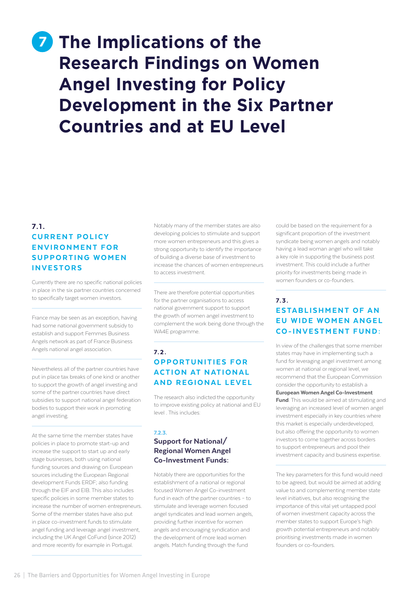# <span id="page-25-0"></span>**7** The Implications of the **Research Findings on Women Angel Investing for Policy Development in the Six Partner Countries and at EU Level**

# $7.1.$ **CURRENT POLICY** ENVIRONMENT FOR SUPPORTING WOMEN INVESTORS

Currently there are no specific national policies in place in the six partner countries concerned to specifically target women investors.

France may be seen as an exception, having had some national government subsidy to establish and support Femmes Business Angels network as part of France Business Angels national angel association.

Nevertheless all of the partner countries have put in place tax breaks of one kind or another to support the growth of angel investing and some of the partner countries have direct subsidies to support national angel federation bodies to support their work in promoting angel investing.

At the same time the member states have policies in place to promote start-up and increase the support to start up and early stage businesses, both using national funding sources and drawing on European sources including the European Regional development Funds ERDF; also funding through the EIF and EIB. This also includes specific policies in some member states to increase the number of women entrepreneurs. Some of the member states have also put in place co-investment funds to stimulate angel funding and leverage angel investment, including the UK Angel CoFund (since 2012) and more recently for example in Portugal.

Notably many of the member states are also developing policies to stimulate and support more women entrepreneurs and this gives a strong opportunity to identify the importance of building a diverse base of investment to increase the chances of women entrepreneurs to access investment.

There are therefore potential opportunities for the partner organisations to access national government support to support the growth of women angel investment to complement the work being done through the WA4E programme.

# 7. 2 . OPPORTUNITIES FOR **ACTION AT NATIONAL** AND REGIONAL LEVEL

The research also indicted the opportunity to improve existing policy at national and EU level . This includes:

## 7.2.3.

## Support for National/ Regional Women Angel Co-Investment Funds:

Notably there are opportunities for the establishment of a national or regional focused Women Angel Co-investment fund in each of the partner countries – to stimulate and leverage women focused angel syndicates and lead women angels, providing further incentive for women angels and encouraging syndication and the development of more lead women angels. Match funding through the fund

could be based on the requirement for a significant proportion of the investment syndicate being women angels and notably having a lead woman angel who will take a key role in supporting the business post investment. This could include a further priority for investments being made in women founders or co-founders.

# 7. 3 . **ESTABLISHMENT OF AN EU WIDE WOMEN ANGEL** CO-INVESTMENT FUND:

In view of the challenges that some member states may have in implementing such a fund for leveraging angel investment among women at national or regional level, we recommend that the European Commission consider the opportunity to establish a European Women Angel Co-Investment **Fund.** This would be aimed at stimulating and leveraging an increased level of women angel investment especially in key countries where this market is especially underdeveloped, but also offering the opportunity to women investors to come together across borders to support entrepreneurs and pool their investment capacity and business expertise.

The key parameters for this fund would need to be agreed, but would be aimed at adding value to and complementing member state level initiatives, but also recognising the importance of this vital yet untapped pool of women investment capacity across the member states to support Europe's high growth potential entrepreneurs and notably prioritising investments made in women founders or co-founders.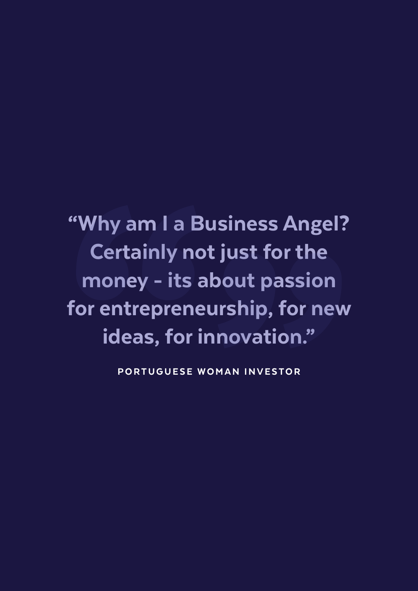"Why am I a Business Angel? Certainly not just for the money - its about passion for entrepreneurship, for new ideas, for innovation."

PORTUGUESE WOMAN INVESTOR